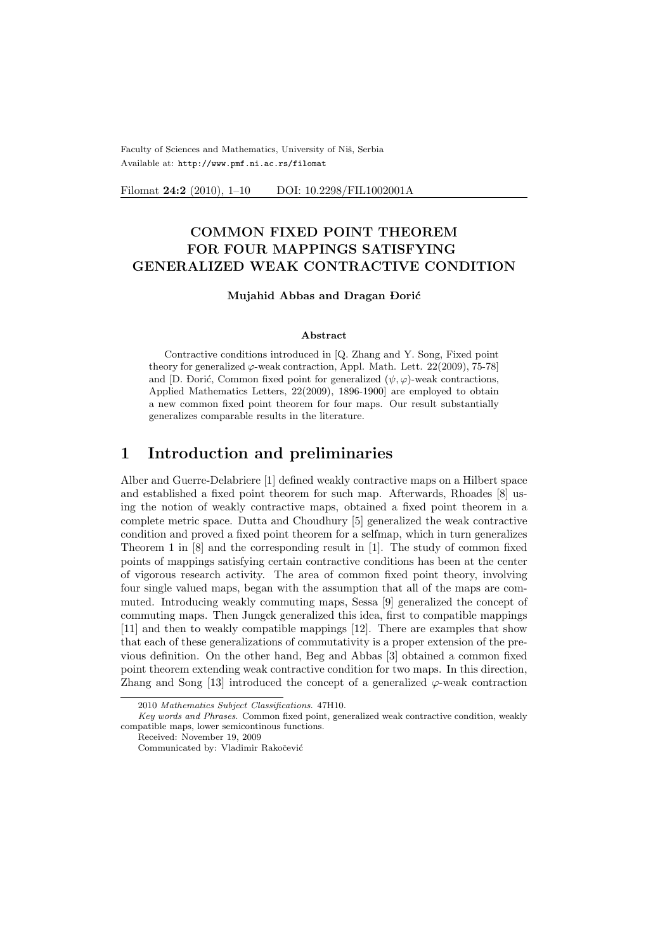Faculty of Sciences and Mathematics, University of Niš, Serbia Available at: http://www.pmf.ni.ac.rs/filomat

Filomat 24:2 (2010), 1-10 DOI: 10.2298/FIL1002001A

# COMMON FIXED POINT THEOREM FOR FOUR MAPPINGS SATISFYING GENERALIZED WEAK CONTRACTIVE CONDITION

#### Mujahid Abbas and Dragan Đorić

#### Abstract

Contractive conditions introduced in [Q. Zhang and Y. Song, Fixed point theory for generalized  $\varphi$ -weak contraction, Appl. Math. Lett. 22(2009), 75-78] and [D. Dorić, Common fixed point for generalized  $(\psi, \varphi)$ -weak contractions, Applied Mathematics Letters, 22(2009), 1896-1900] are employed to obtain a new common fixed point theorem for four maps. Our result substantially generalizes comparable results in the literature.

# 1 Introduction and preliminaries

Alber and Guerre-Delabriere [1] defined weakly contractive maps on a Hilbert space and established a fixed point theorem for such map. Afterwards, Rhoades [8] using the notion of weakly contractive maps, obtained a fixed point theorem in a complete metric space. Dutta and Choudhury [5] generalized the weak contractive condition and proved a fixed point theorem for a selfmap, which in turn generalizes Theorem 1 in [8] and the corresponding result in [1]. The study of common fixed points of mappings satisfying certain contractive conditions has been at the center of vigorous research activity. The area of common fixed point theory, involving four single valued maps, began with the assumption that all of the maps are commuted. Introducing weakly commuting maps, Sessa [9] generalized the concept of commuting maps. Then Jungck generalized this idea, first to compatible mappings [11] and then to weakly compatible mappings [12]. There are examples that show that each of these generalizations of commutativity is a proper extension of the previous definition. On the other hand, Beg and Abbas [3] obtained a common fixed point theorem extending weak contractive condition for two maps. In this direction, Zhang and Song [13] introduced the concept of a generalized  $\varphi$ -weak contraction

<sup>2010</sup> Mathematics Subject Classifications. 47H10.

Key words and Phrases. Common fixed point, generalized weak contractive condition, weakly compatible maps, lower semicontinous functions.

Received: November 19, 2009

Communicated by: Vladimir Rakočević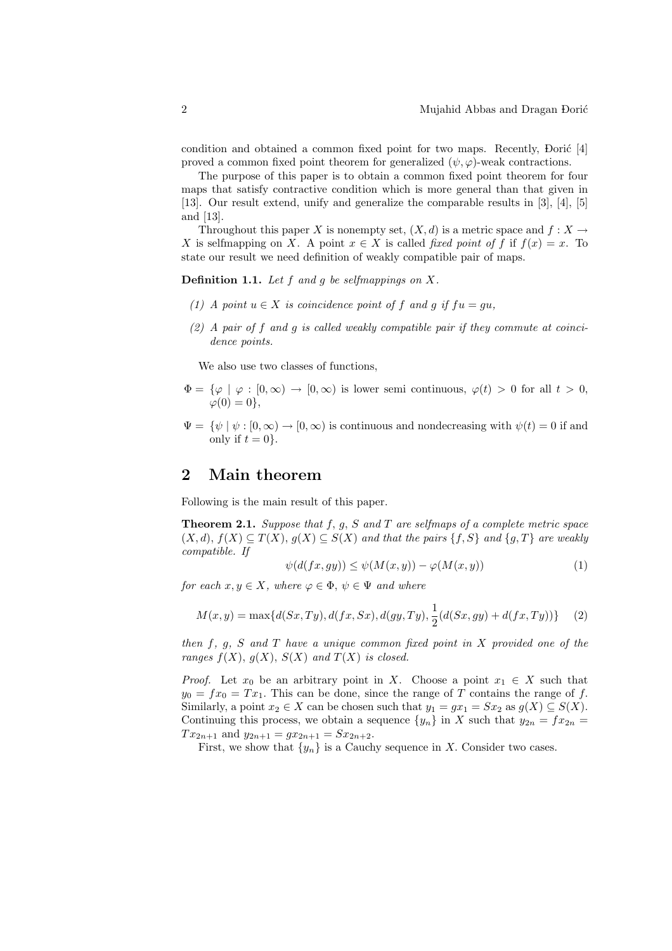condition and obtained a common fixed point for two maps. Recently, Doric [4] proved a common fixed point theorem for generalized  $(\psi, \varphi)$ -weak contractions.

The purpose of this paper is to obtain a common fixed point theorem for four maps that satisfy contractive condition which is more general than that given in [13]. Our result extend, unify and generalize the comparable results in [3], [4], [5] and [13].

Throughout this paper X is nonempty set,  $(X, d)$  is a metric space and  $f : X \to$ X is selfmapping on X. A point  $x \in X$  is called fixed point of f if  $f(x) = x$ . To state our result we need definition of weakly compatible pair of maps.

**Definition 1.1.** Let  $f$  and  $g$  be selfmappings on  $X$ .

- (1) A point  $u \in X$  is coincidence point of f and q if  $fu = qu$ .
- $(2)$  A pair of f and g is called weakly compatible pair if they commute at coincidence points.

We also use two classes of functions,

- $\Phi = {\varphi \mid \varphi : [0, \infty) \to [0, \infty)}$  is lower semi continuous,  $\varphi(t) > 0$  for all  $t > 0$ ,  $\varphi(0) = 0$ ,
- $\Psi = {\psi | \psi : [0, \infty) \rightarrow [0, \infty)}$  is continuous and nondecreasing with  $\psi(t) = 0$  if and only if  $t = 0$ .

### 2 Main theorem

Following is the main result of this paper.

**Theorem 2.1.** Suppose that  $f, g, S$  and  $T$  are selfmaps of a complete metric space  $(X, d), f(X) \subseteq T(X), g(X) \subseteq S(X)$  and that the pairs  $\{f, S\}$  and  $\{g, T\}$  are weakly compatible. If

$$
\psi(d(fx, gy)) \le \psi(M(x, y)) - \varphi(M(x, y))\tag{1}
$$

for each  $x, y \in X$ , where  $\varphi \in \Phi$ ,  $\psi \in \Psi$  and where

$$
M(x,y) = \max\{d(Sx,Ty), d(fx,Sx), d(gy,Ty), \frac{1}{2}(d(Sx,gy) + d(fx,Ty))\}
$$
 (2)

then  $f, g, S$  and  $T$  have a unique common fixed point in  $X$  provided one of the ranges  $f(X)$ ,  $g(X)$ ,  $S(X)$  and  $T(X)$  is closed.

*Proof.* Let  $x_0$  be an arbitrary point in X. Choose a point  $x_1 \in X$  such that  $y_0 = fx_0 = Tx_1$ . This can be done, since the range of T contains the range of f. Similarly, a point  $x_2 \in X$  can be chosen such that  $y_1 = gx_1 = Sx_2$  as  $g(X) \subseteq S(X)$ . Continuing this process, we obtain a sequence  $\{y_n\}$  in X such that  $y_{2n} = fx_{2n}$  $Tx_{2n+1}$  and  $y_{2n+1} = gx_{2n+1} = Sx_{2n+2}$ .

First, we show that  $\{y_n\}$  is a Cauchy sequence in X. Consider two cases.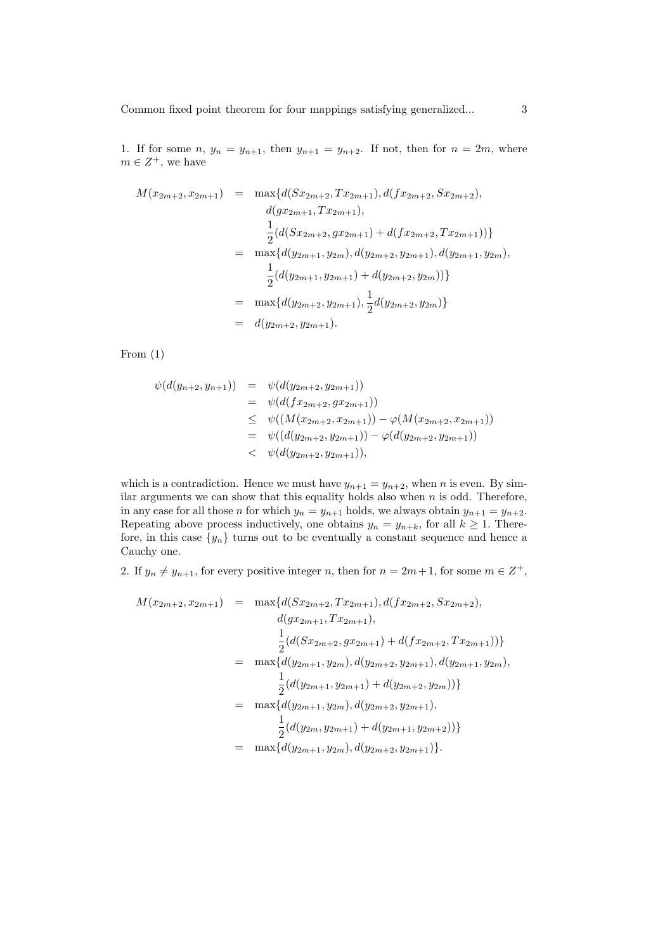1. If for some  $n, y_n = y_{n+1}$ , then  $y_{n+1} = y_{n+2}$ . If not, then for  $n = 2m$ , where  $m \in Z^+$ , we have

$$
M(x_{2m+2}, x_{2m+1}) = \max\{d(Sx_{2m+2}, Tx_{2m+1}), d(fx_{2m+2}, Sx_{2m+2}),
$$
  
\n
$$
d(gx_{2m+1}, Tx_{2m+1}),
$$
  
\n
$$
\frac{1}{2}(d(Sx_{2m+2}, gx_{2m+1}) + d(fx_{2m+2}, Tx_{2m+1}))\}
$$
  
\n
$$
= \max\{d(y_{2m+1}, y_{2m}), d(y_{2m+2}, y_{2m+1}), d(y_{2m+1}, y_{2m}),
$$
  
\n
$$
\frac{1}{2}(d(y_{2m+1}, y_{2m+1}) + d(y_{2m+2}, y_{2m}))\}
$$
  
\n
$$
= \max\{d(y_{2m+2}, y_{2m+1}), \frac{1}{2}d(y_{2m+2}, y_{2m})\}
$$
  
\n
$$
= d(y_{2m+2}, y_{2m+1}).
$$

From  $(1)$ 

$$
\psi(d(y_{n+2}, y_{n+1})) = \psi(d(y_{2m+2}, y_{2m+1}))
$$
  
\n
$$
= \psi(d(fx_{2m+2}, y_{2m+1}))
$$
  
\n
$$
\leq \psi((M(x_{2m+2}, x_{2m+1})) - \varphi(M(x_{2m+2}, x_{2m+1}))
$$
  
\n
$$
= \psi((d(y_{2m+2}, y_{2m+1})) - \varphi(d(y_{2m+2}, y_{2m+1}))
$$
  
\n
$$
< \psi(d(y_{2m+2}, y_{2m+1})),
$$

which is a contradiction. Hence we must have  $y_{n+1} = y_{n+2}$ , when n is even. By similar arguments we can show that this equality holds also when  $n$  is odd. Therefore, in any case for all those *n* for which  $y_n = y_{n+1}$  holds, we always obtain  $y_{n+1} = y_{n+2}$ . Repeating above process inductively, one obtains  $y_n = y_{n+k}$ , for all  $k \ge 1$ . Therefore, in this case  $\{y_n\}$  turns out to be eventually a constant sequence and hence a Cauchy one.

2. If  $y_n \neq y_{n+1}$ , for every positive integer n, then for  $n = 2m + 1$ , for some  $m \in \mathbb{Z}^+$ ,

$$
M(x_{2m+2}, x_{2m+1}) = \max\{d(Sx_{2m+2}, Tx_{2m+1}), d(fx_{2m+2}, Sx_{2m+2}),
$$
  
\n
$$
d(gx_{2m+1}, Tx_{2m+1}),
$$
  
\n
$$
\frac{1}{2}(d(Sx_{2m+2}, gx_{2m+1}) + d(fx_{2m+2}, Tx_{2m+1}))\}
$$
  
\n
$$
= \max\{d(y_{2m+1}, y_{2m}), d(y_{2m+2}, y_{2m+1}), d(y_{2m+1}, y_{2m}),
$$
  
\n
$$
\frac{1}{2}(d(y_{2m+1}, y_{2m+1}) + d(y_{2m+2}, y_{2m}))\}
$$
  
\n
$$
= \max\{d(y_{2m+1}, y_{2m}), d(y_{2m+2}, y_{2m+1}),
$$
  
\n
$$
\frac{1}{2}(d(y_{2m}, y_{2m+1}) + d(y_{2m+1}, y_{2m+2}))\}
$$
  
\n
$$
= \max\{d(y_{2m+1}, y_{2m}), d(y_{2m+2}, y_{2m+1})\}.
$$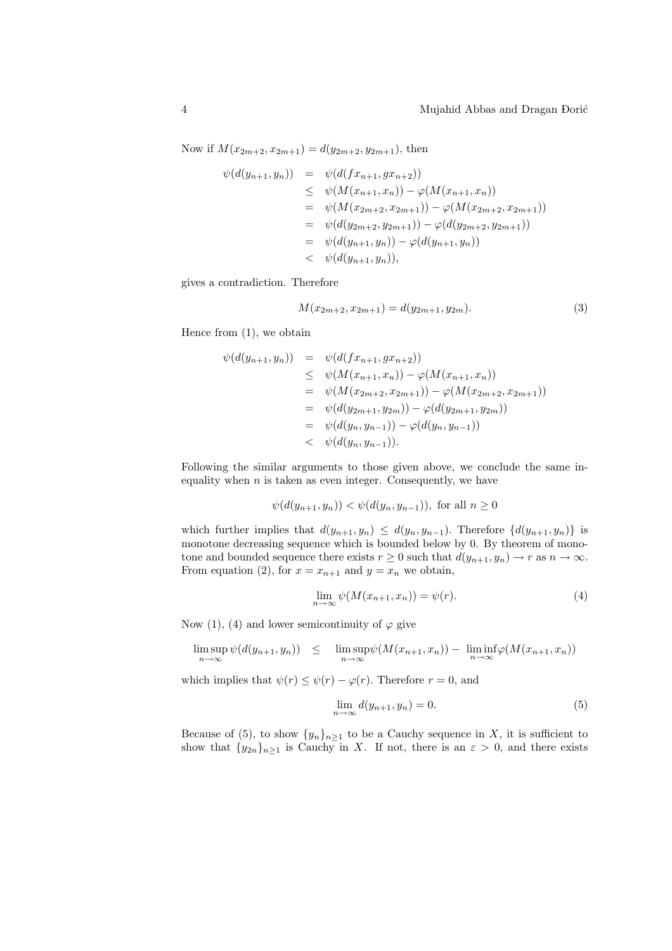Now if  $M(x_{2m+2}, x_{2m+1}) = d(y_{2m+2}, y_{2m+1})$ , then

$$
\psi(d(y_{n+1}, y_n)) = \psi(d(fx_{n+1}, gx_{n+2}))
$$
\n
$$
\leq \psi(M(x_{n+1}, x_n)) - \varphi(M(x_{n+1}, x_n))
$$
\n
$$
= \psi(M(x_{2m+2}, x_{2m+1})) - \varphi(M(x_{2m+2}, x_{2m+1}))
$$
\n
$$
= \psi(d(y_{2m+2}, y_{2m+1})) - \varphi(d(y_{2m+2}, y_{2m+1}))
$$
\n
$$
= \psi(d(y_{n+1}, y_n)) - \varphi(d(y_{n+1}, y_n))
$$
\n
$$
< \psi(d(y_{n+1}, y_n)),
$$

gives a contradiction. Therefore

$$
M(x_{2m+2}, x_{2m+1}) = d(y_{2m+1}, y_{2m}).
$$
\n(3)

Hence from (1), we obtain

$$
\psi(d(y_{n+1}, y_n)) = \psi(d(fx_{n+1}, gx_{n+2}))
$$
\n
$$
\leq \psi(M(x_{n+1}, x_n)) - \varphi(M(x_{n+1}, x_n))
$$
\n
$$
= \psi(M(x_{2m+2}, x_{2m+1})) - \varphi(M(x_{2m+2}, x_{2m+1}))
$$
\n
$$
= \psi(d(y_{2m+1}, y_{2m})) - \varphi(d(y_{2m+1}, y_{2m}))
$$
\n
$$
= \psi(d(y_n, y_{n-1})) - \varphi(d(y_n, y_{n-1}))
$$
\n
$$
< \psi(d(y_n, y_{n-1})).
$$

Following the similar arguments to those given above, we conclude the same inequality when  $n$  is taken as even integer. Consequently, we have

$$
\psi(d(y_{n+1}, y_n)) < \psi(d(y_n, y_{n-1}))
$$
, for all  $n \ge 0$ 

which further implies that  $d(y_{n+1}, y_n) \leq d(y_n, y_{n-1})$ . Therefore  $\{d(y_{n+1}, y_n)\}\$ is monotone decreasing sequence which is bounded below by 0. By theorem of monotone and bounded sequence there exists  $r \geq 0$  such that  $d(y_{n+1}, y_n) \to r$  as  $n \to \infty$ . From equation (2), for  $x = x_{n+1}$  and  $y = x_n$  we obtain,

$$
\lim_{n \to \infty} \psi(M(x_{n+1}, x_n)) = \psi(r). \tag{4}
$$

Now (1), (4) and lower semicontinuity of  $\varphi$  give

$$
\limsup_{n \to \infty} \psi(d(y_{n+1}, y_n)) \leq \limsup_{n \to \infty} \psi(M(x_{n+1}, x_n)) - \liminf_{n \to \infty} \varphi(M(x_{n+1}, x_n))
$$

which implies that  $\psi(r) \leq \psi(r) - \varphi(r)$ . Therefore  $r = 0$ , and

$$
\lim_{n \to \infty} d(y_{n+1}, y_n) = 0. \tag{5}
$$

Because of (5), to show  $\{y_n\}_{n\geq 1}$  to be a Cauchy sequence in X, it is sufficient to show that  $\{y_{2n}\}_{n\geq 1}$  is Cauchy in X. If not, there is an  $\varepsilon > 0$ , and there exists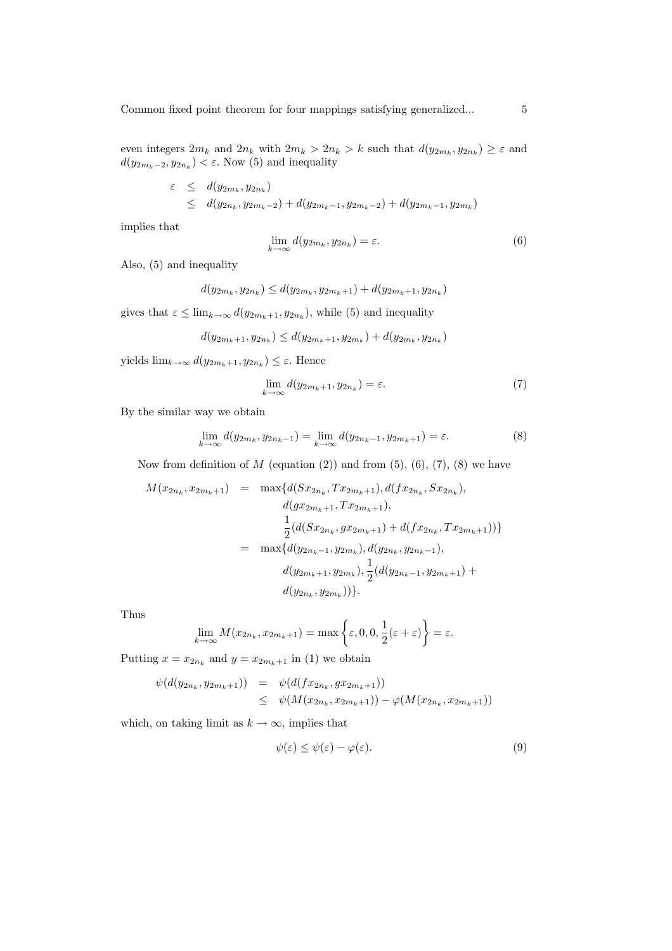even integers  $2m_k$  and  $2n_k$  with  $2m_k > 2n_k > k$  such that  $d(y_{2m_k}, y_{2n_k}) \geq \varepsilon$  and  $d(y_{2m_k-2}, y_{2n_k}) < \varepsilon$ . Now (5) and inequality

$$
\begin{array}{rcl} \varepsilon & \leq & d(y_{2m_k}, y_{2m_k}) \\ & \leq & d(y_{2n_k}, y_{2m_k-2}) + d(y_{2m_k-1}, y_{2m_k-2}) + d(y_{2m_k-1}, y_{2m_k}) \end{array}
$$

implies that

$$
\lim_{k \to \infty} d(y_{2m_k}, y_{2n_k}) = \varepsilon.
$$
\n(6)

Also, (5) and inequality

$$
d(y_{2m_k}, y_{2n_k}) \le d(y_{2m_k}, y_{2m_k+1}) + d(y_{2m_k+1}, y_{2n_k})
$$

gives that  $\varepsilon \leq \lim_{k \to \infty} d(y_{2m_k+1}, y_{2n_k})$ , while (5) and inequality

$$
d(y_{2m_k+1}, y_{2n_k}) \le d(y_{2m_k+1}, y_{2m_k}) + d(y_{2m_k}, y_{2n_k})
$$

yields  $\lim_{k\to\infty} d(y_{2m_k+1}, y_{2n_k}) \leq \varepsilon$ . Hence

$$
\lim_{k \to \infty} d(y_{2m_k+1}, y_{2n_k}) = \varepsilon. \tag{7}
$$

By the similar way we obtain

$$
\lim_{k \to \infty} d(y_{2m_k}, y_{2n_k - 1}) = \lim_{k \to \infty} d(y_{2n_k - 1}, y_{2m_k + 1}) = \varepsilon.
$$
\n(8)

Now from definition of  $M$  (equation (2)) and from (5), (6), (7), (8) we have

$$
M(x_{2n_k}, x_{2m_k+1}) = \max\{d(Sx_{2n_k}, Tx_{2m_k+1}), d(fx_{2n_k}, Sx_{2n_k}),
$$
  
\n
$$
d(gx_{2m_k+1}, Tx_{2m_k+1}),
$$
  
\n
$$
\frac{1}{2}(d(Sx_{2n_k}, gx_{2m_k+1}) + d(fx_{2n_k}, Tx_{2m_k+1}))\}
$$
  
\n
$$
= \max\{d(y_{2n_k-1}, y_{2m_k}), d(y_{2n_k}, y_{2n_k-1}),
$$
  
\n
$$
d(y_{2m_k+1}, y_{2m_k}))\}.
$$

Thus

$$
\lim_{k \to \infty} M(x_{2n_k}, x_{2m_k+1}) = \max \left\{ \varepsilon, 0, 0, \frac{1}{2} (\varepsilon + \varepsilon) \right\} = \varepsilon.
$$

Putting  $x = x_{2n_k}$  and  $y = x_{2m_k+1}$  in (1) we obtain

$$
\psi(d(y_{2n_k}, y_{2m_k+1})) = \psi(d(fx_{2n_k}, gx_{2m_k+1}))
$$
  
\n
$$
\leq \psi(M(x_{2n_k}, x_{2m_k+1})) - \varphi(M(x_{2n_k}, x_{2m_k+1}))
$$

which, on taking limit as  $k \to \infty$ , implies that

$$
\psi(\varepsilon) \le \psi(\varepsilon) - \varphi(\varepsilon). \tag{9}
$$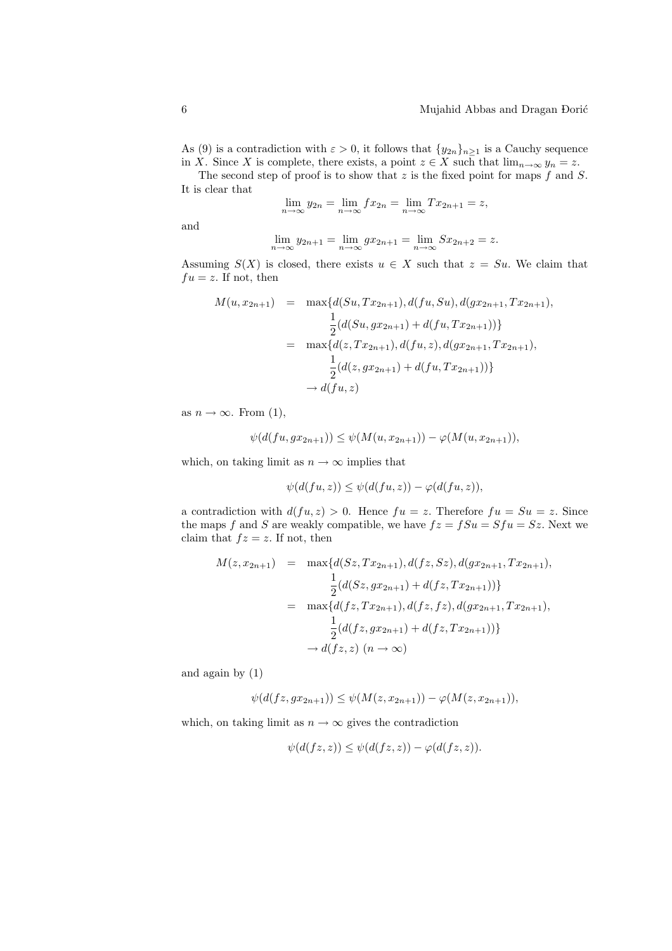As (9) is a contradiction with  $\varepsilon > 0$ , it follows that  $\{y_{2n}\}_{n\geq 1}$  is a Cauchy sequence in X. Since X is complete, there exists, a point  $z \in X$  such that  $\lim_{n\to\infty} y_n = z$ .

The second step of proof is to show that  $z$  is the fixed point for maps  $f$  and  $S$ . It is clear that

$$
\lim_{n \to \infty} y_{2n} = \lim_{n \to \infty} fx_{2n} = \lim_{n \to \infty} Tx_{2n+1} = z,
$$

and

$$
\lim_{n \to \infty} y_{2n+1} = \lim_{n \to \infty} gx_{2n+1} = \lim_{n \to \infty} Sx_{2n+2} = z.
$$

Assuming  $S(X)$  is closed, there exists  $u \in X$  such that  $z = Su$ . We claim that  $fu = z$ . If not, then

$$
M(u, x_{2n+1}) = \max\{d(Su, Tx_{2n+1}), d(fu, Su), d(gx_{2n+1}, Tx_{2n+1}),
$$
  

$$
\frac{1}{2}(d(Su, gx_{2n+1}) + d(fu, Tx_{2n+1}))\}
$$
  

$$
= \max\{d(z, Tx_{2n+1}), d(fu, z), d(gx_{2n+1}, Tx_{2n+1}),
$$
  

$$
\frac{1}{2}(d(z, gx_{2n+1}) + d(fu, Tx_{2n+1}))\}
$$
  

$$
\rightarrow d(fu, z)
$$

as  $n \to \infty$ . From (1),

$$
\psi(d(fu, gx_{2n+1})) \leq \psi(M(u, x_{2n+1})) - \varphi(M(u, x_{2n+1})),
$$

which, on taking limit as  $n \to \infty$  implies that

$$
\psi(d(fu, z)) \le \psi(d(fu, z)) - \varphi(d(fu, z)),
$$

a contradiction with  $d(fu, z) > 0$ . Hence  $fu = z$ . Therefore  $fu = Su = z$ . Since the maps f and S are weakly compatible, we have  $fz = fS u = S f u = Sz$ . Next we claim that  $fz = z$ . If not, then

$$
M(z, x_{2n+1}) = \max\{d(Sz, Tx_{2n+1}), d(fz, Sz), d(gx_{2n+1}, Tx_{2n+1}),
$$
  
\n
$$
\frac{1}{2}(d(Sz, gx_{2n+1}) + d(fz, Tx_{2n+1}))\}
$$
  
\n
$$
= \max\{d(fz, Tx_{2n+1}), d(fz, fz), d(gx_{2n+1}, Tx_{2n+1}),
$$
  
\n
$$
\frac{1}{2}(d(fz, gx_{2n+1}) + d(fz, Tx_{2n+1}))\}
$$
  
\n
$$
\rightarrow d(fz, z) \quad (n \rightarrow \infty)
$$

and again by (1)

$$
\psi(d(fz,gx_{2n+1})) \leq \psi(M(z,x_{2n+1})) - \varphi(M(z,x_{2n+1})),
$$

which, on taking limit as  $n \to \infty$  gives the contradiction

$$
\psi(d(fz,z)) \le \psi(d(fz,z)) - \varphi(d(fz,z)).
$$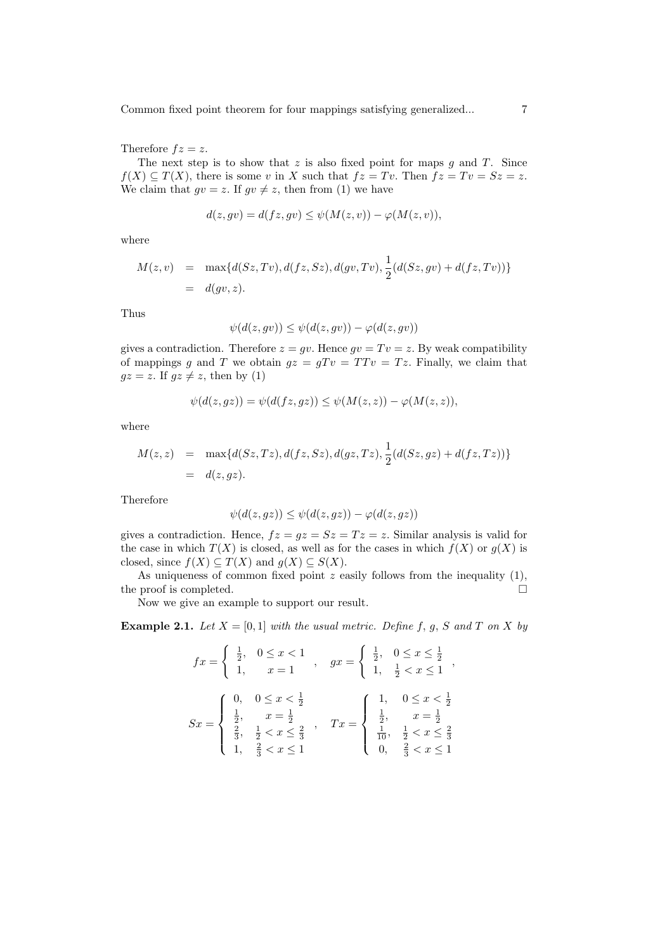Therefore  $fz = z$ .

The next step is to show that  $z$  is also fixed point for maps  $g$  and  $T$ . Since  $f(X) \subseteq T(X)$ , there is some v in X such that  $fz = Tv$ . Then  $fz = Tv = Sz = z$ . We claim that  $gv = z$ . If  $gv \neq z$ , then from (1) we have

$$
d(z, gv) = d(fz, gv) \leq \psi(M(z, v)) - \varphi(M(z, v)),
$$

where

$$
M(z,v) = \max\{d(Sz,Tv), d(fz,Sz), d(gv,Tv), \frac{1}{2}(d(Sz,gv) + d(fz,Tv))\}
$$
  
=  $d(gv,z)$ .

1

Thus

$$
\psi(d(z, gv)) \leq \psi(d(z, gv)) - \varphi(d(z, gv))
$$

gives a contradiction. Therefore  $z = gv$ . Hence  $gv = Tv = z$ . By weak compatibility of mappings g and T we obtain  $gz = gTv = TTv = Ts$ . Finally, we claim that  $gz = z$ . If  $gz \neq z$ , then by (1)

$$
\psi(d(z,gz)) = \psi(d(fz,gz)) \le \psi(M(z,z)) - \varphi(M(z,z)),
$$

where

$$
M(z, z) = \max\{d(Sz, Tz), d(fz, Sz), d(gz, Tz), \frac{1}{2}(d(Sz, gz) + d(fz, Tz))\}
$$
  
=  $d(z, gz).$ 

Therefore

$$
\psi(d(z,gz)) \le \psi(d(z,gz)) - \varphi(d(z,gz))
$$

gives a contradiction. Hence,  $fz = gz = Sz = Tz = z$ . Similar analysis is valid for the case in which  $T(X)$  is closed, as well as for the cases in which  $f(X)$  or  $g(X)$  is closed, since  $f(X) \subseteq T(X)$  and  $g(X) \subseteq S(X)$ .

As uniqueness of common fixed point  $z$  easily follows from the inequality  $(1)$ , the proof is completed.  $\Box$ 

Now we give an example to support our result.

**Example 2.1.** Let  $X = [0, 1]$  with the usual metric. Define f, g, S and T on X by

$$
fx = \begin{cases} \frac{1}{2}, & 0 \le x < 1 \\ 1, & x = 1 \end{cases}, \quad gx = \begin{cases} \frac{1}{2}, & 0 \le x \le \frac{1}{2} \\ 1, & \frac{1}{2} < x \le 1 \end{cases},
$$

$$
Sx = \begin{cases} 0, & 0 \le x < \frac{1}{2} \\ \frac{1}{2}, & x = \frac{1}{2} \\ \frac{2}{3}, & \frac{1}{2} < x \le \frac{2}{3} \\ 1, & \frac{2}{3} < x \le 1 \end{cases}, \quad Tx = \begin{cases} 1, & 0 \le x < \frac{1}{2} \\ \frac{1}{2}, & x = \frac{1}{2} \\ \frac{1}{10}, & \frac{1}{2} < x \le \frac{2}{3} \\ 0, & \frac{2}{3} < x \le 1 \end{cases}
$$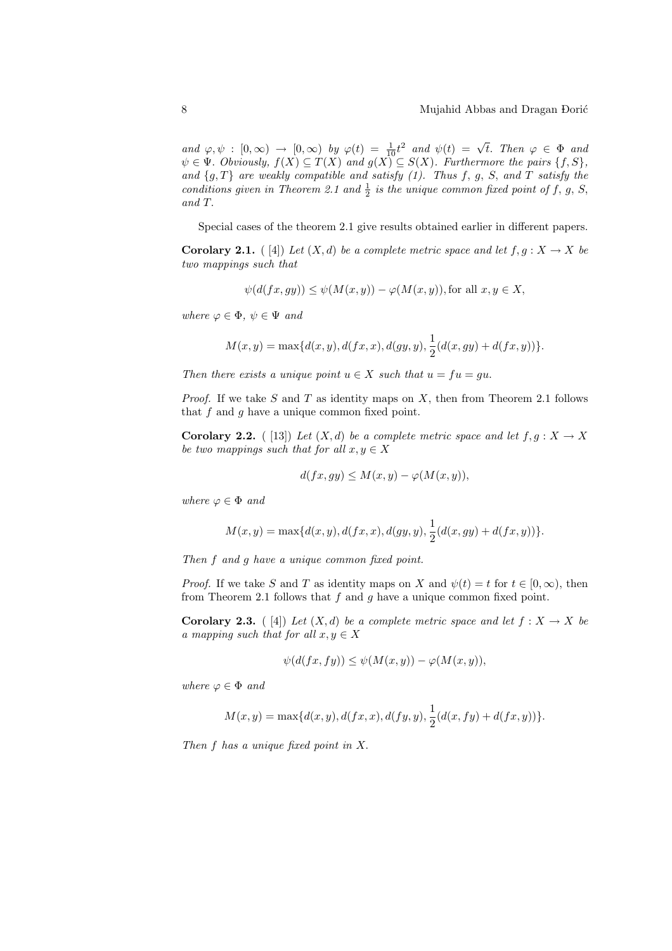and  $\varphi, \psi : [0, \infty) \to [0, \infty)$  by  $\varphi(t) = \frac{1}{10}t^2$  and  $\psi(t) = \sqrt{t}$ . Then  $\varphi \in \Phi$  and  $\psi \in \Psi$ . Obviously,  $f(X) \subseteq T(X)$  and  $g(X) \subseteq S(X)$ . Furthermore the pairs  $\{f, S\}$ , and  ${g, T}$  are weakly compatible and satisfy (1). Thus f, g, S, and T satisfy the conditions given in Theorem 2.1 and  $\frac{1}{2}$  is the unique common fixed point of f, g, S, and T.

Special cases of the theorem 2.1 give results obtained earlier in different papers.

**Corolary 2.1.** ( [4]) Let  $(X,d)$  be a complete metric space and let  $f, g: X \to X$  be two mappings such that

$$
\psi(d(fx, gy)) \le \psi(M(x, y)) - \varphi(M(x, y)),
$$
 for all  $x, y \in X$ ,

where  $\varphi \in \Phi$ ,  $\psi \in \Psi$  and

$$
M(x,y) = \max\{d(x,y), d(fx,x), d(gy,y), \frac{1}{2}(d(x,gy) + d(fx,y))\}.
$$

Then there exists a unique point  $u \in X$  such that  $u = fu = gu$ .

*Proof.* If we take S and T as identity maps on X, then from Theorem 2.1 follows that  $f$  and  $g$  have a unique common fixed point.

**Corolary 2.2.** ( [13]) Let  $(X, d)$  be a complete metric space and let  $f, g: X \to X$ be two mappings such that for all  $x, y \in X$ 

$$
d(fx, gy) \le M(x, y) - \varphi(M(x, y)),
$$

where  $\varphi \in \Phi$  and

$$
M(x,y) = \max\{d(x,y), d(fx,x), d(gy,y), \frac{1}{2}(d(x,gy) + d(fx,y))\}.
$$

Then f and g have a unique common fixed point.

*Proof.* If we take S and T as identity maps on X and  $\psi(t) = t$  for  $t \in [0, \infty)$ , then from Theorem 2.1 follows that  $f$  and  $g$  have a unique common fixed point.

**Corolary 2.3.** ( [4]) Let  $(X,d)$  be a complete metric space and let  $f: X \to X$  be a mapping such that for all  $x, y \in X$ 

$$
\psi(d(fx, fy)) \le \psi(M(x, y)) - \varphi(M(x, y)),
$$

where  $\varphi \in \Phi$  and

$$
M(x,y) = \max\{d(x,y), d(fx,x), d(fy,y), \frac{1}{2}(d(x, fy) + d(fx, y))\}.
$$

Then f has a unique fixed point in X.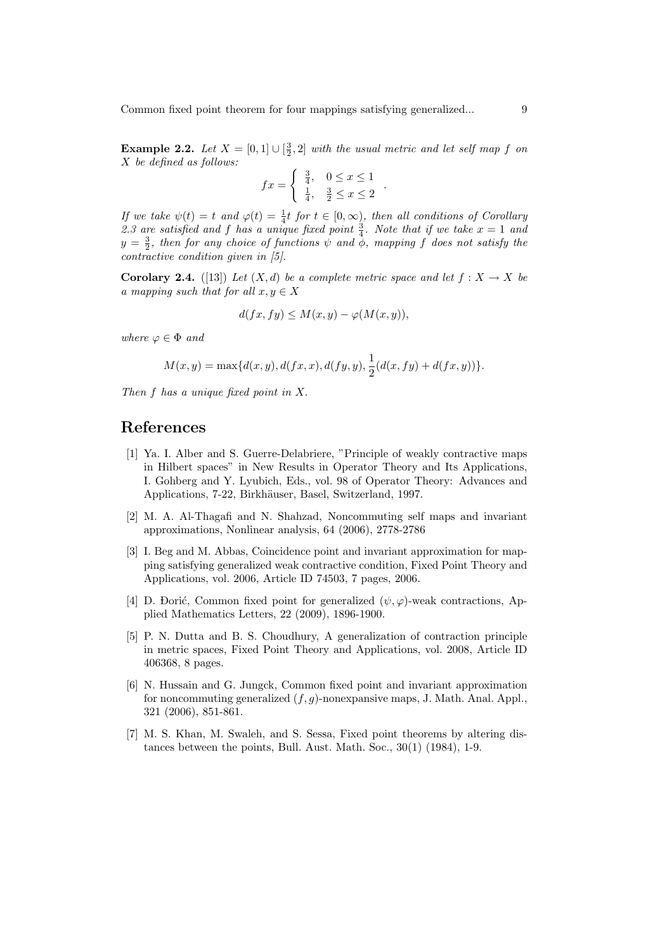**Example 2.2.** Let  $X = [0, 1] \cup [\frac{3}{2}, 2]$  with the usual metric and let self map f on X be defined as follows:  $\begin{pmatrix} 3 \end{pmatrix}$ 

$$
fx = \begin{cases} \frac{3}{4}, & 0 \le x \le 1 \\ \frac{1}{4}, & \frac{3}{2} \le x \le 2 \end{cases}.
$$

If we take  $\psi(t) = t$  and  $\varphi(t) = \frac{1}{4}t$  for  $t \in [0, \infty)$ , then all conditions of Corollary 2.3 are satisfied and f has a unique fixed point  $\frac{3}{4}$ . Note that if we take  $x = 1$  and  $y = \frac{3}{2}$ , then for any choice of functions  $\psi$  and  $\phi$ , mapping f does not satisfy the contractive condition given in [5].

**Corolary 2.4.** ([13]) Let  $(X,d)$  be a complete metric space and let  $f : X \to X$  be a mapping such that for all  $x, y \in X$ 

$$
d(fx, fy) \le M(x, y) - \varphi(M(x, y)),
$$

where  $\varphi \in \Phi$  and

$$
M(x,y) = \max\{d(x,y), d(fx,x), d(fy,y), \frac{1}{2}(d(x, fy) + d(fx,y))\}.
$$

Then f has a unique fixed point in X.

## References

- [1] Ya. I. Alber and S. Guerre-Delabriere, "Principle of weakly contractive maps in Hilbert spaces" in New Results in Operator Theory and Its Applications, I. Gohberg and Y. Lyubich, Eds., vol. 98 of Operator Theory: Advances and Applications, 7-22, Birkhäuser, Basel, Switzerland, 1997.
- [2] M. A. Al-Thagafi and N. Shahzad, Noncommuting self maps and invariant approximations, Nonlinear analysis, 64 (2006), 2778-2786
- [3] I. Beg and M. Abbas, Coincidence point and invariant approximation for mapping satisfying generalized weak contractive condition, Fixed Point Theory and Applications, vol. 2006, Article ID 74503, 7 pages, 2006.
- [4] D. Đorić, Common fixed point for generalized  $(\psi, \varphi)$ -weak contractions, Applied Mathematics Letters, 22 (2009), 1896-1900.
- [5] P. N. Dutta and B. S. Choudhury, A generalization of contraction principle in metric spaces, Fixed Point Theory and Applications, vol. 2008, Article ID 406368, 8 pages.
- [6] N. Hussain and G. Jungck, Common fixed point and invariant approximation for noncommuting generalized  $(f, g)$ -nonexpansive maps, J. Math. Anal. Appl., 321 (2006), 851-861.
- [7] M. S. Khan, M. Swaleh, and S. Sessa, Fixed point theorems by altering distances between the points, Bull. Aust. Math. Soc., 30(1) (1984), 1-9.